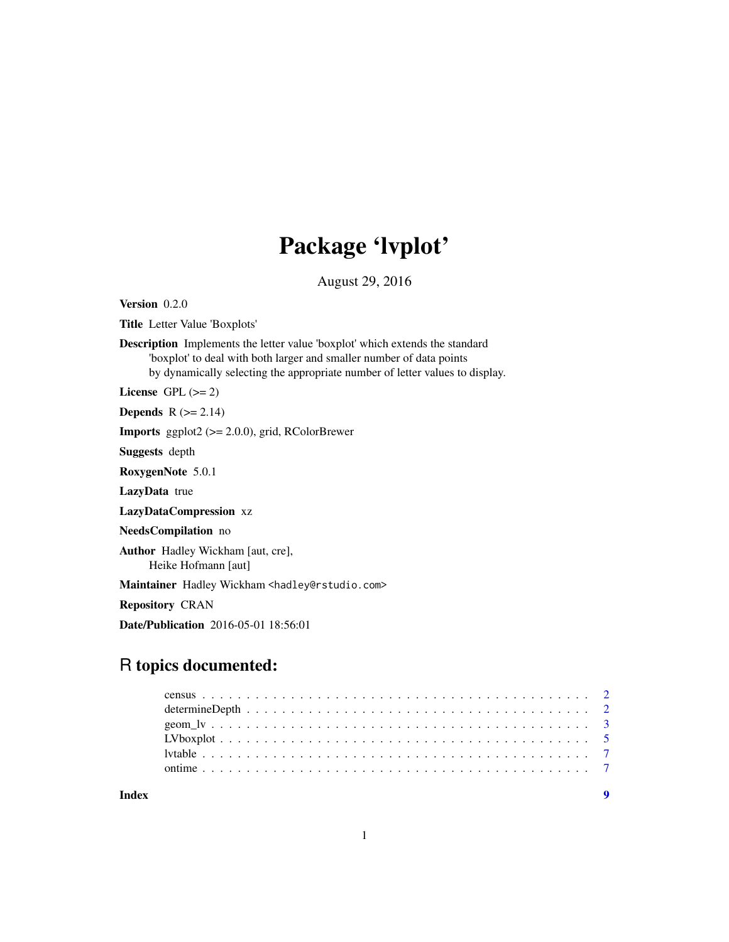## Package 'lvplot'

August 29, 2016

<span id="page-0-0"></span>Version 0.2.0

Title Letter Value 'Boxplots'

Description Implements the letter value 'boxplot' which extends the standard 'boxplot' to deal with both larger and smaller number of data points by dynamically selecting the appropriate number of letter values to display.

License GPL  $(>= 2)$ 

Depends  $R$  ( $>= 2.14$ )

Imports ggplot2 (>= 2.0.0), grid, RColorBrewer

Suggests depth

RoxygenNote 5.0.1

LazyData true

LazyDataCompression xz

NeedsCompilation no

Author Hadley Wickham [aut, cre], Heike Hofmann [aut]

Maintainer Hadley Wickham <hadley@rstudio.com>

Repository CRAN

Date/Publication 2016-05-01 18:56:01

## R topics documented:

| Index |  |
|-------|--|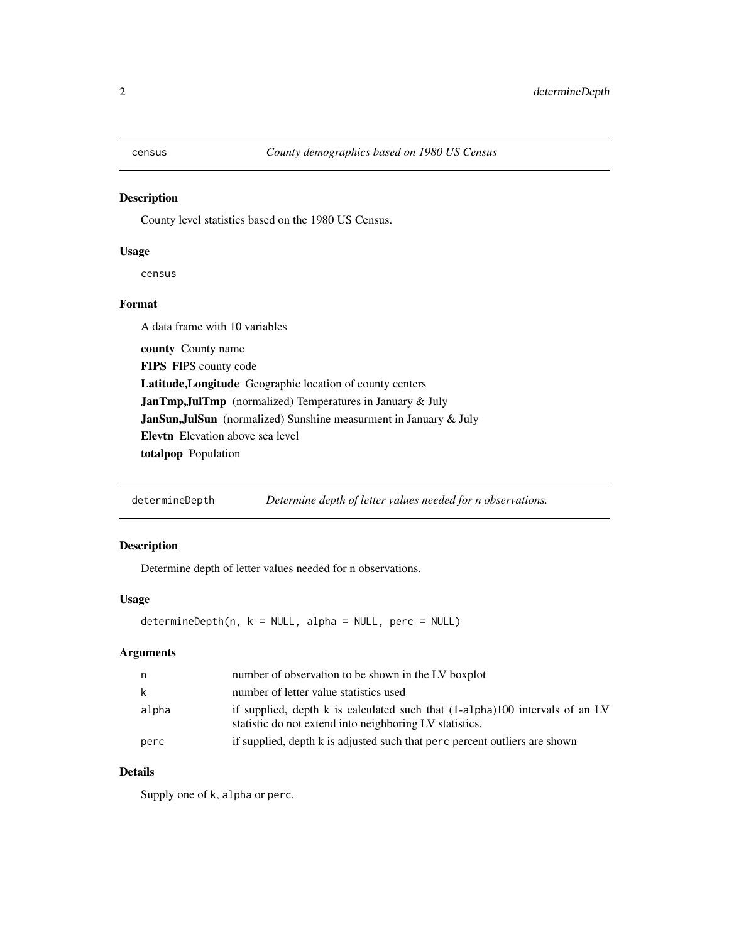<span id="page-1-0"></span>

#### Description

County level statistics based on the 1980 US Census.

#### Usage

census

#### Format

A data frame with 10 variables county County name FIPS FIPS county code Latitude,Longitude Geographic location of county centers JanTmp,JulTmp (normalized) Temperatures in January & July JanSun,JulSun (normalized) Sunshine measurment in January & July Elevtn Elevation above sea level totalpop Population

determineDepth *Determine depth of letter values needed for n observations.*

#### Description

Determine depth of letter values needed for n observations.

#### Usage

determineDepth(n, k = NULL, alpha = NULL, perc = NULL)

#### Arguments

| n.    | number of observation to be shown in the LV boxplot                                                                                     |
|-------|-----------------------------------------------------------------------------------------------------------------------------------------|
| k.    | number of letter value statistics used                                                                                                  |
| alpha | if supplied, depth k is calculated such that (1-alpha)100 intervals of an LV<br>statistic do not extend into neighboring LV statistics. |
| perc  | if supplied, depth k is adjusted such that perc percent outliers are shown                                                              |

#### Details

Supply one of k, alpha or perc.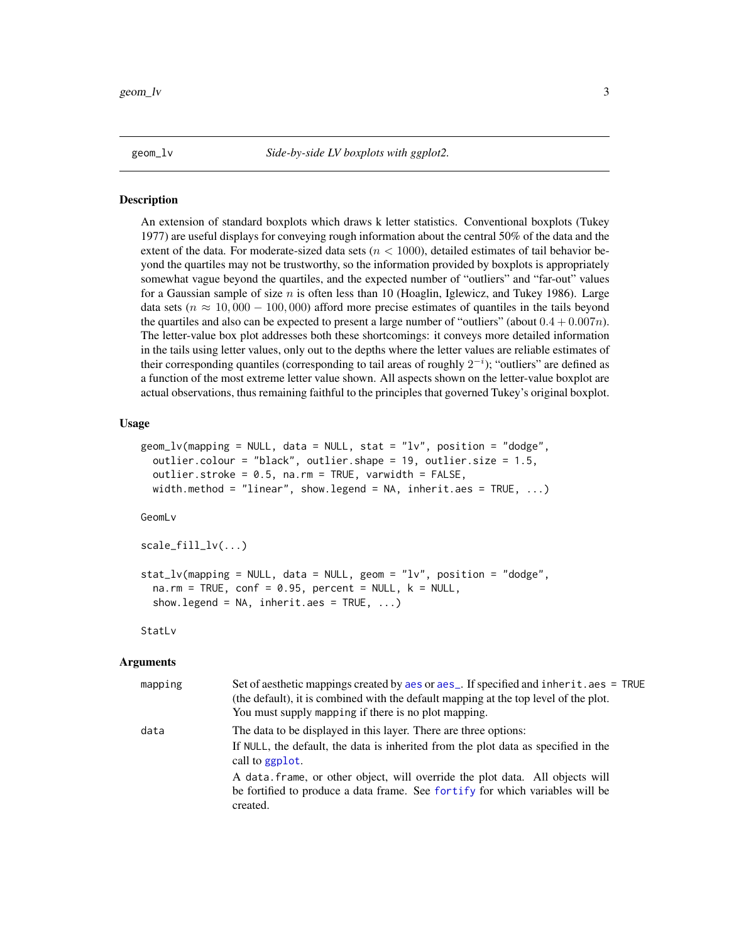<span id="page-2-0"></span>

#### **Description**

An extension of standard boxplots which draws k letter statistics. Conventional boxplots (Tukey 1977) are useful displays for conveying rough information about the central 50% of the data and the extent of the data. For moderate-sized data sets ( $n < 1000$ ), detailed estimates of tail behavior beyond the quartiles may not be trustworthy, so the information provided by boxplots is appropriately somewhat vague beyond the quartiles, and the expected number of "outliers" and "far-out" values for a Gaussian sample of size  $n$  is often less than 10 (Hoaglin, Iglewicz, and Tukey 1986). Large data sets ( $n \approx 10,000 - 100,000$ ) afford more precise estimates of quantiles in the tails beyond the quartiles and also can be expected to present a large number of "outliers" (about  $0.4 + 0.007n$ ). The letter-value box plot addresses both these shortcomings: it conveys more detailed information in the tails using letter values, only out to the depths where the letter values are reliable estimates of their corresponding quantiles (corresponding to tail areas of roughly  $2^{-i}$ ); "outliers" are defined as a function of the most extreme letter value shown. All aspects shown on the letter-value boxplot are actual observations, thus remaining faithful to the principles that governed Tukey's original boxplot.

#### Usage

```
geom_l v(mapping = NULL, data = NULL, stat = "lv", position = "dodge",outlier.colour = "black", outlier.shape = 19, outlier.size = 1.5,
  outlier.stroke = 0.5, na.rm = TRUE, varwidth = FALSE,
  width.method = "linear", show.legend = NA, inherit.aes = TRUE, \ldots)
```
GeomLv

scale\_fill\_lv(...)

```
stat_lv(mapping = NULL, data = NULL, geom = "lv", position = "dodge",
 na.rm = TRUE, conf = 0.95, percent = NULL, k = NULL,show.legend = NA, inherit.aes = TRUE, ...)
```
StatLv

#### Arguments

| mapping | Set of aesthetic mappings created by a es or a es_. If specified and inherit.aes = TRUE<br>(the default), it is combined with the default mapping at the top level of the plot.<br>You must supply mapping if there is no plot mapping.                   |
|---------|-----------------------------------------------------------------------------------------------------------------------------------------------------------------------------------------------------------------------------------------------------------|
| data    | The data to be displayed in this layer. There are three options:<br>If NULL, the default, the data is inherited from the plot data as specified in the<br>call to ggplot.<br>A data frame, or other object, will override the plot data. All objects will |
|         | be fortified to produce a data frame. See fortify for which variables will be<br>created.                                                                                                                                                                 |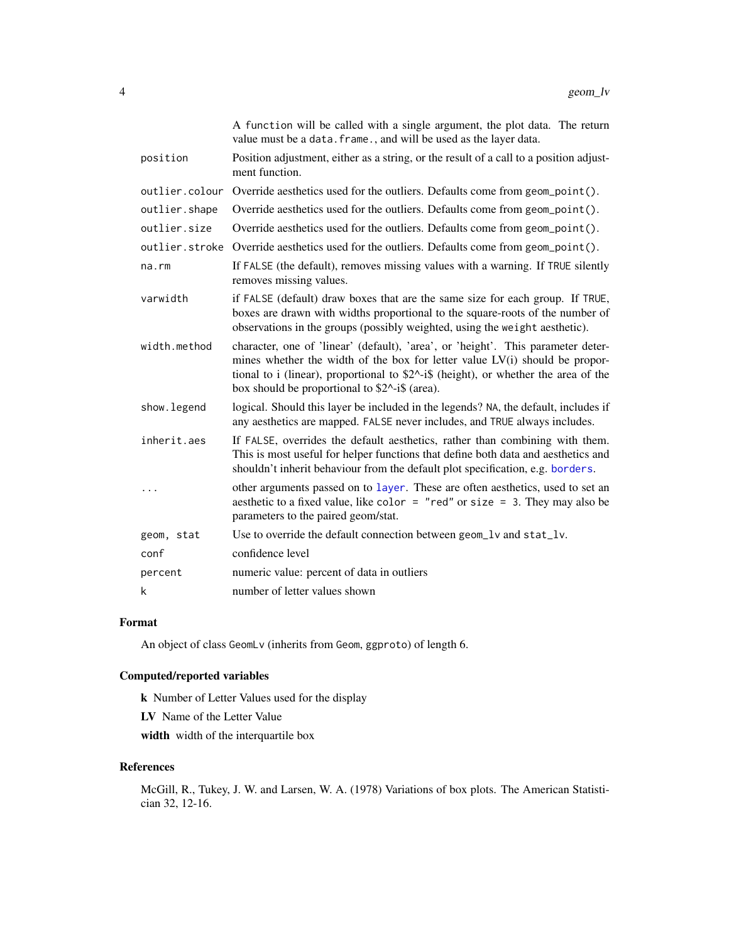<span id="page-3-0"></span>

|                | A function will be called with a single argument, the plot data. The return<br>value must be a data. frame., and will be used as the layer data.                                                                                                                                                                             |
|----------------|------------------------------------------------------------------------------------------------------------------------------------------------------------------------------------------------------------------------------------------------------------------------------------------------------------------------------|
| position       | Position adjustment, either as a string, or the result of a call to a position adjust-<br>ment function.                                                                                                                                                                                                                     |
| outlier.colour | Override aesthetics used for the outliers. Defaults come from geom_point().                                                                                                                                                                                                                                                  |
| outlier.shape  | Override aesthetics used for the outliers. Defaults come from geom_point().                                                                                                                                                                                                                                                  |
| outlier.size   | Override aesthetics used for the outliers. Defaults come from geom_point().                                                                                                                                                                                                                                                  |
| outlier.stroke | Override aesthetics used for the outliers. Defaults come from geom_point().                                                                                                                                                                                                                                                  |
| na.rm          | If FALSE (the default), removes missing values with a warning. If TRUE silently<br>removes missing values.                                                                                                                                                                                                                   |
| varwidth       | if FALSE (default) draw boxes that are the same size for each group. If TRUE,<br>boxes are drawn with widths proportional to the square-roots of the number of<br>observations in the groups (possibly weighted, using the weight aesthetic).                                                                                |
| width.method   | character, one of 'linear' (default), 'area', or 'height'. This parameter deter-<br>mines whether the width of the box for letter value LV(i) should be propor-<br>tional to i (linear), proportional to $$2^{\wedge}$ -i\$ (height), or whether the area of the<br>box should be proportional to $$2^{\wedge}$ -i\$ (area). |
| show.legend    | logical. Should this layer be included in the legends? NA, the default, includes if<br>any aesthetics are mapped. FALSE never includes, and TRUE always includes.                                                                                                                                                            |
| inherit.aes    | If FALSE, overrides the default aesthetics, rather than combining with them.<br>This is most useful for helper functions that define both data and aesthetics and<br>shouldn't inherit behaviour from the default plot specification, e.g. borders.                                                                          |
|                | other arguments passed on to layer. These are often aesthetics, used to set an<br>aesthetic to a fixed value, like color = "red" or size = 3. They may also be<br>parameters to the paired geom/stat.                                                                                                                        |
| geom, stat     | Use to override the default connection between geom_lv and stat_lv.                                                                                                                                                                                                                                                          |
| conf           | confidence level                                                                                                                                                                                                                                                                                                             |
| percent        | numeric value: percent of data in outliers                                                                                                                                                                                                                                                                                   |
| k              | number of letter values shown                                                                                                                                                                                                                                                                                                |

#### Format

An object of class GeomLv (inherits from Geom, ggproto) of length 6.

#### Computed/reported variables

k Number of Letter Values used for the display

LV Name of the Letter Value

width width of the interquartile box

### References

McGill, R., Tukey, J. W. and Larsen, W. A. (1978) Variations of box plots. The American Statistician 32, 12-16.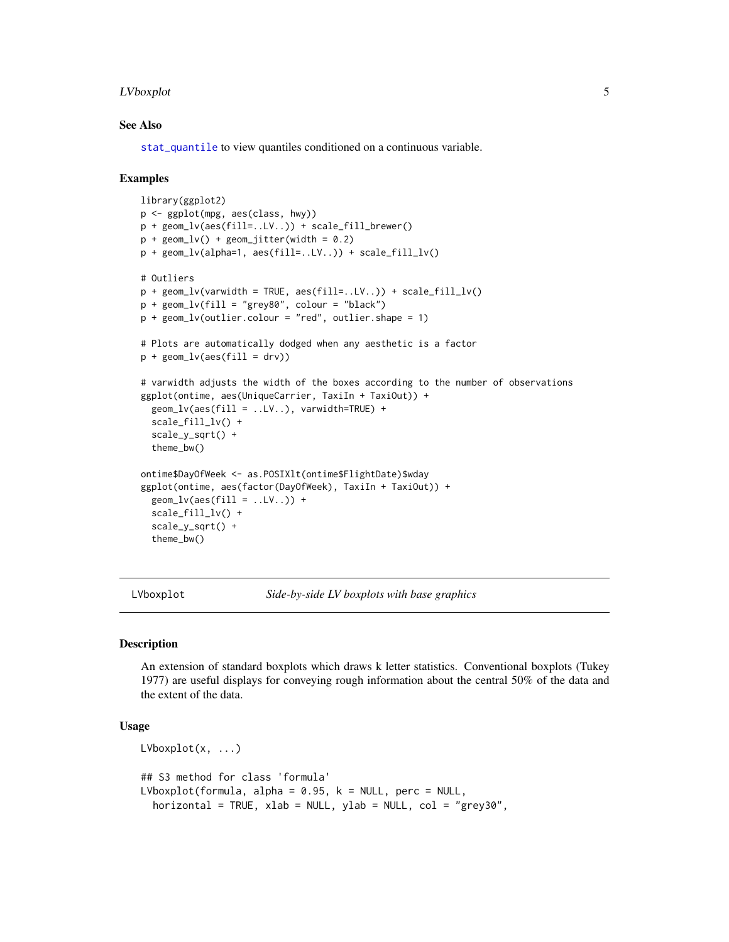#### <span id="page-4-0"></span>LVboxplot 5

#### See Also

[stat\\_quantile](#page-0-0) to view quantiles conditioned on a continuous variable.

#### Examples

```
library(ggplot2)
p <- ggplot(mpg, aes(class, hwy))
p + geom_lv(aes(fill=..LV..)) + scale_fill_brewer()
p + geom\_lv() + geom\_jitter(width = 0.2)p + geom_lv(alpha=1, aes(fill=..LV..)) + scale_fill_lv()
# Outliers
p + geom\_lv(varwidth = TRUE, \text{aes}(fill=..LV..)) + scale_fill\_lv()p + geom\_lv(fill = "grey80", colour = "black")p + geom\_lv(outlier.colour = "red", outlier.shape = 1)# Plots are automatically dodged when any aesthetic is a factor
p + geom\_lv(aes(fill = dry))# varwidth adjusts the width of the boxes according to the number of observations
ggplot(ontime, aes(UniqueCarrier, TaxiIn + TaxiOut)) +
  geom_lv(aes(fill = ..LV..), varwidth=TRUE) +
  scale_fill_lv() +
  scale_y_sqrt() +
  theme_bw()
ontime$DayOfWeek <- as.POSIXlt(ontime$FlightDate)$wday
ggplot(ontime, aes(factor(DayOfWeek), TaxiIn + TaxiOut)) +
  geom\_lv(aes(fill = ...LV...)) +scale_fill_lv() +
  scale_y_sqrt() +
  theme_bw()
```
LVboxplot *Side-by-side LV boxplots with base graphics*

#### **Description**

An extension of standard boxplots which draws k letter statistics. Conventional boxplots (Tukey 1977) are useful displays for conveying rough information about the central 50% of the data and the extent of the data.

#### Usage

```
LVboxplot(x, ...)
## S3 method for class 'formula'
LVboxplot(formula, alpha = 0.95, k = NULL, perc = NULL,
  horizontal = TRUE, xlab = NULL, ylab = NULL, col = "grey30",
```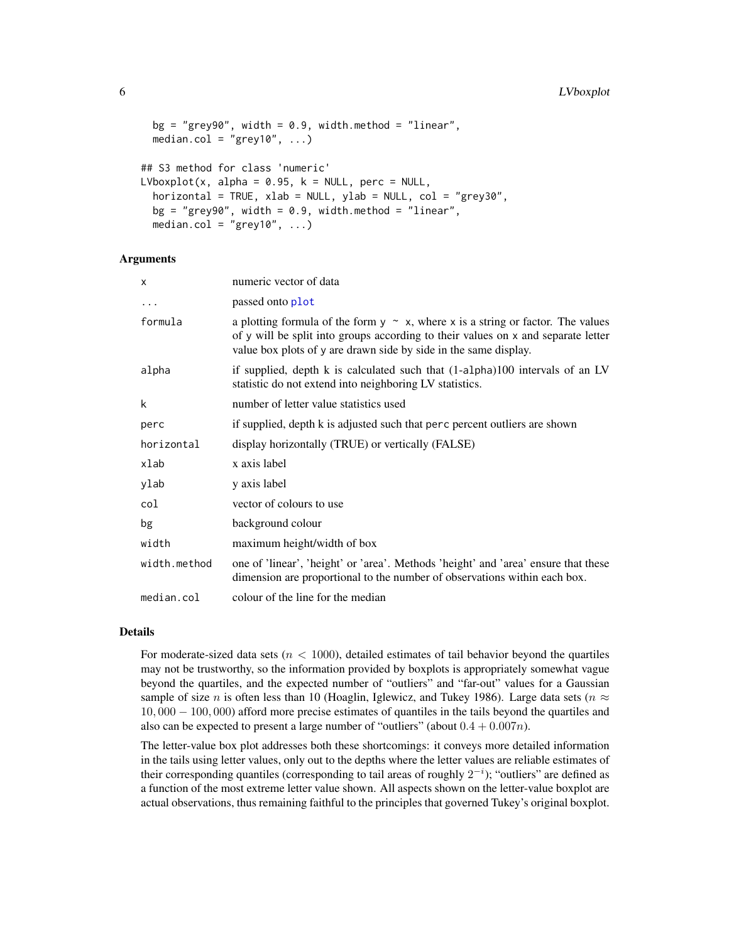```
bg = "grey90", width = 0.9, width.method = "linear",
 median.col = "grey10", \ldots)
## S3 method for class 'numeric'
LVboxplot(x, alpha = 0.95, k = NULL, perc = NULL,
  horizontal = TRUE, xlab = NULL, ylab = NULL, col = "grey30",
 bg = "grey90", width = 0.9, width.method = "linear",
 median.col = "grey10", \ldots)
```
#### **Arguments**

| X            | numeric vector of data                                                                                                                                                                                                                         |
|--------------|------------------------------------------------------------------------------------------------------------------------------------------------------------------------------------------------------------------------------------------------|
| $\ddotsc$    | passed onto plot                                                                                                                                                                                                                               |
| formula      | a plotting formula of the form $y \sim x$ , where x is a string or factor. The values<br>of y will be split into groups according to their values on x and separate letter<br>value box plots of y are drawn side by side in the same display. |
| alpha        | if supplied, depth k is calculated such that $(1-a1pha)100$ intervals of an LV<br>statistic do not extend into neighboring LV statistics.                                                                                                      |
| k            | number of letter value statistics used                                                                                                                                                                                                         |
| perc         | if supplied, depth k is adjusted such that perc percent outliers are shown                                                                                                                                                                     |
| horizontal   | display horizontally (TRUE) or vertically (FALSE)                                                                                                                                                                                              |
| xlab         | x axis label                                                                                                                                                                                                                                   |
| ylab         | y axis label                                                                                                                                                                                                                                   |
| col          | vector of colours to use                                                                                                                                                                                                                       |
| bg           | background colour                                                                                                                                                                                                                              |
| width        | maximum height/width of box                                                                                                                                                                                                                    |
| width.method | one of 'linear', 'height' or 'area'. Methods 'height' and 'area' ensure that these<br>dimension are proportional to the number of observations within each box.                                                                                |
| median.col   | colour of the line for the median                                                                                                                                                                                                              |

#### Details

For moderate-sized data sets ( $n < 1000$ ), detailed estimates of tail behavior beyond the quartiles may not be trustworthy, so the information provided by boxplots is appropriately somewhat vague beyond the quartiles, and the expected number of "outliers" and "far-out" values for a Gaussian sample of size n is often less than 10 (Hoaglin, Iglewicz, and Tukey 1986). Large data sets ( $n \approx$ 10, 000 − 100, 000) afford more precise estimates of quantiles in the tails beyond the quartiles and also can be expected to present a large number of "outliers" (about  $0.4 + 0.007n$ ).

The letter-value box plot addresses both these shortcomings: it conveys more detailed information in the tails using letter values, only out to the depths where the letter values are reliable estimates of their corresponding quantiles (corresponding to tail areas of roughly  $2^{-i}$ ); "outliers" are defined as a function of the most extreme letter value shown. All aspects shown on the letter-value boxplot are actual observations, thus remaining faithful to the principles that governed Tukey's original boxplot.

<span id="page-5-0"></span>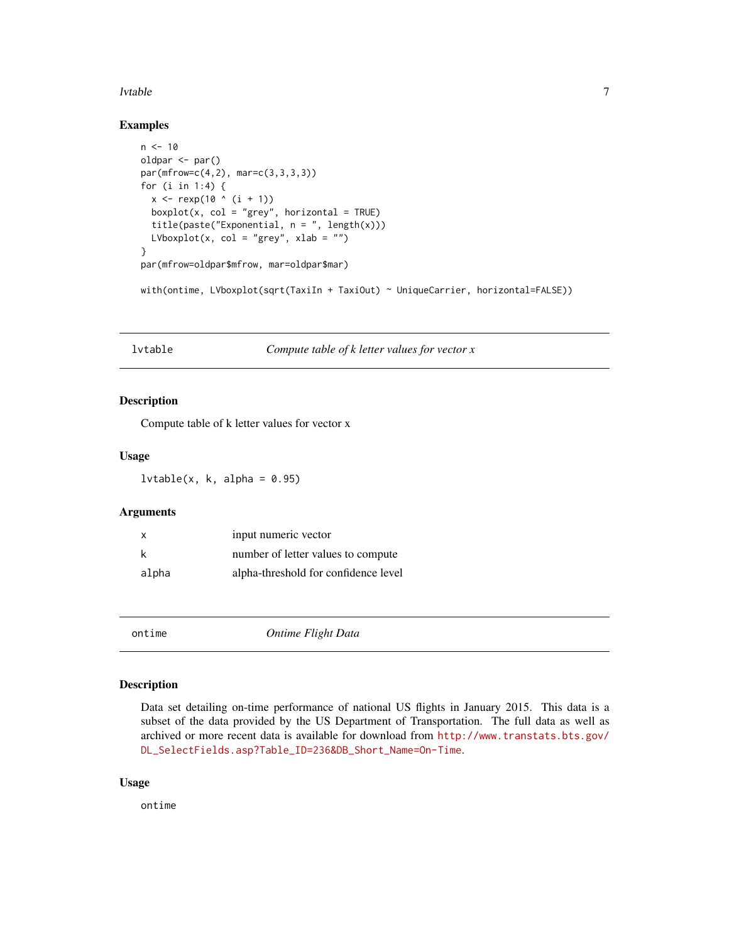#### <span id="page-6-0"></span>lvtable 7

#### Examples

```
n < -10oldpar <- par()
par(mfrow=c(4,2), mar=c(3,3,3,3))
for (i in 1:4) {
  x \le - rexp(10 (i + 1))
  boxplot(x, col = "grey", horizontal = TRUE)title(paste("Exponential, n = ", length(x)))
  LVboxplot(x, col = "grey", xlab = "")
}
par(mfrow=oldpar$mfrow, mar=oldpar$mar)
with(ontime, LVboxplot(sqrt(TaxiIn + TaxiOut) ~ UniqueCarrier, horizontal=FALSE))
```
lvtable *Compute table of k letter values for vector x*

#### Description

Compute table of k letter values for vector x

#### Usage

 $lvtable(x, k, alpha = 0.95)$ 

#### Arguments

| $\mathsf{x}$ | input numeric vector                 |
|--------------|--------------------------------------|
| k            | number of letter values to compute   |
| alpha        | alpha-threshold for confidence level |

ontime *Ontime Flight Data*

#### Description

Data set detailing on-time performance of national US flights in January 2015. This data is a subset of the data provided by the US Department of Transportation. The full data as well as archived or more recent data is available for download from [http://www.transtats.bts.gov/](http://www.transtats.bts.gov/DL_SelectFields.asp?Table_ID=236&DB_Short_Name=On-Time) [DL\\_SelectFields.asp?Table\\_ID=236&DB\\_Short\\_Name=On-Time](http://www.transtats.bts.gov/DL_SelectFields.asp?Table_ID=236&DB_Short_Name=On-Time).

#### Usage

ontime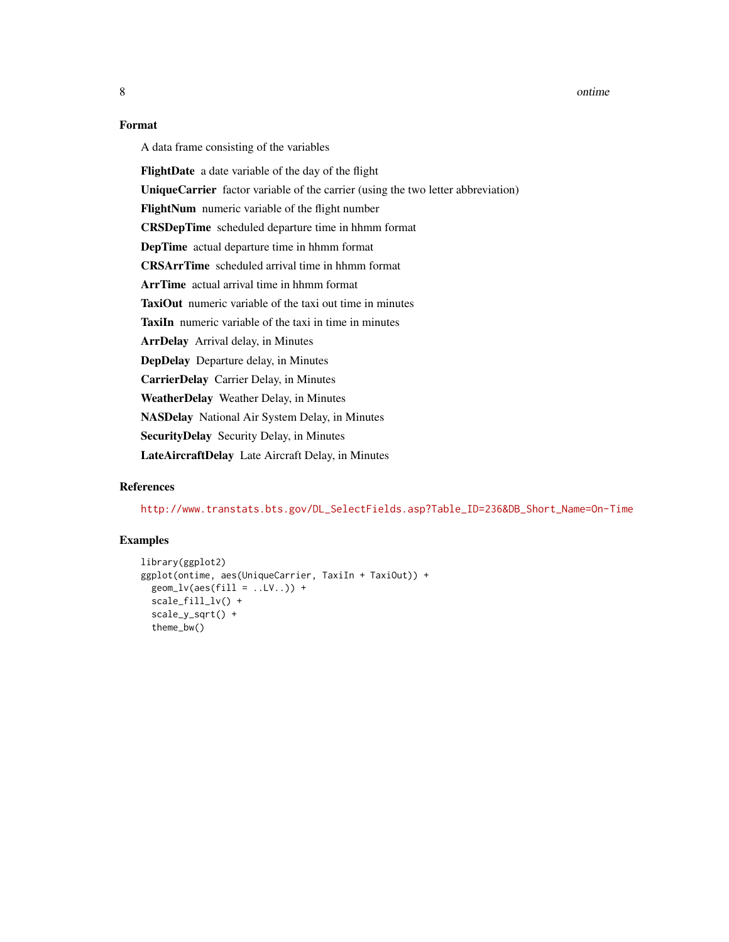8 ontime and the set of the set of the set of the set of the set of the set of the set of the set of the set of the set of the set of the set of the set of the set of the set of the set of the set of the set of the set of

#### Format

A data frame consisting of the variables

FlightDate a date variable of the day of the flight

UniqueCarrier factor variable of the carrier (using the two letter abbreviation)

FlightNum numeric variable of the flight number

CRSDepTime scheduled departure time in hhmm format

DepTime actual departure time in hhmm format

CRSArrTime scheduled arrival time in hhmm format

ArrTime actual arrival time in hhmm format

TaxiOut numeric variable of the taxi out time in minutes

TaxiIn numeric variable of the taxi in time in minutes

ArrDelay Arrival delay, in Minutes

DepDelay Departure delay, in Minutes

CarrierDelay Carrier Delay, in Minutes

WeatherDelay Weather Delay, in Minutes

NASDelay National Air System Delay, in Minutes

SecurityDelay Security Delay, in Minutes

LateAircraftDelay Late Aircraft Delay, in Minutes

#### References

[http://www.transtats.bts.gov/DL\\_SelectFields.asp?Table\\_ID=236&DB\\_Short\\_Name=On-Time](http://www.transtats.bts.gov/DL_SelectFields.asp?Table_ID=236&DB_Short_Name=On-Time)

#### Examples

```
library(ggplot2)
ggplot(ontime, aes(UniqueCarrier, TaxiIn + TaxiOut)) +
 geom\_lv(aes(fill = ..LV. .)) +
 scale_fill_lv() +
 scale_y_sqrt() +
 theme_bw()
```